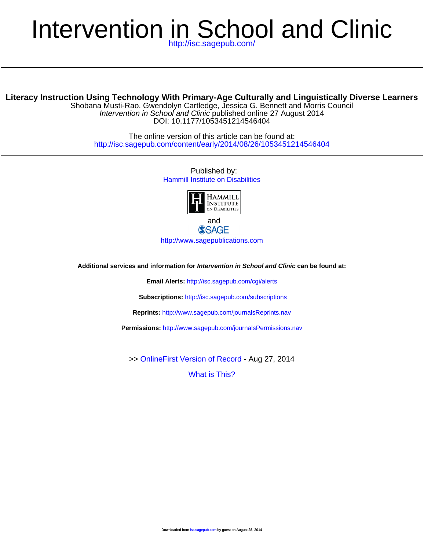# <http://isc.sagepub.com/> Intervention in School and Clinic

### **Literacy Instruction Using Technology With Primary-Age Culturally and Linguistically Diverse Learners**

DOI: 10.1177/1053451214546404 Intervention in School and Clinic published online 27 August 2014 Shobana Musti-Rao, Gwendolyn Cartledge, Jessica G. Bennett and Morris Council

<http://isc.sagepub.com/content/early/2014/08/26/1053451214546404> The online version of this article can be found at:

> Published by: [Hammill Institute on Disabilities](http://www.hammill-institute.org/)



and **SSAGE** 

<http://www.sagepublications.com>

**Additional services and information for Intervention in School and Clinic can be found at:**

**Email Alerts:** <http://isc.sagepub.com/cgi/alerts>

**Subscriptions:** <http://isc.sagepub.com/subscriptions>

**Reprints:** <http://www.sagepub.com/journalsReprints.nav>

**Permissions:** <http://www.sagepub.com/journalsPermissions.nav>

>> [OnlineFirst Version of Record -](http://isc.sagepub.com/content/early/2014/08/26/1053451214546404.full.pdf) Aug 27, 2014

[What is This?](http://online.sagepub.com/site/sphelp/vorhelp.xhtml)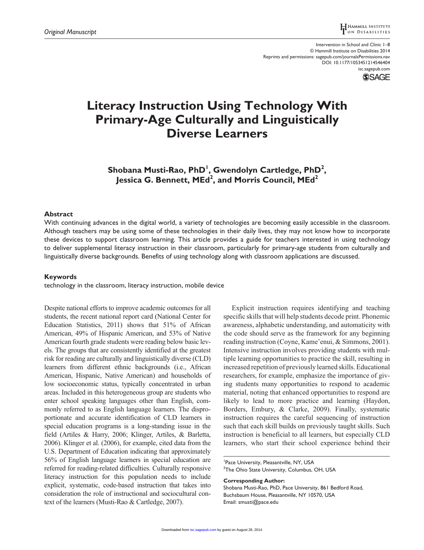Intervention in School and Clinic 1–8 © Hammill Institute on Disabilities 2014 Reprints and permissions: sagepub.com/journalsPermissions.nav DOI: 10.1177/1053451214546404 isc.sagepub.com **SSAGE** 

## **Literacy Instruction Using Technology With Primary-Age Culturally and Linguistically Diverse Learners**

 $\boldsymbol{\mathsf{Shobana\; Musti\text{-}Rao, PhD}^{\text{\text{I}}}, \boldsymbol{\mathsf{Gwendolyn\; Cartledge, PhD}^{\text{2}}},$ **Jessica G. Bennett, MEd<sup>2</sup> , and Morris Council, MEd2**

#### **Abstract**

With continuing advances in the digital world, a variety of technologies are becoming easily accessible in the classroom. Although teachers may be using some of these technologies in their daily lives, they may not know how to incorporate these devices to support classroom learning. This article provides a guide for teachers interested in using technology to deliver supplemental literacy instruction in their classroom, particularly for primary-age students from culturally and linguistically diverse backgrounds. Benefits of using technology along with classroom applications are discussed.

#### **Keywords**

technology in the classroom, literacy instruction, mobile device

Despite national efforts to improve academic outcomes for all students, the recent national report card (National Center for Education Statistics, 2011) shows that 51% of African American, 49% of Hispanic American, and 53% of Native American fourth grade students were reading below basic levels. The groups that are consistently identified at the greatest risk for reading are culturally and linguistically diverse (CLD) learners from different ethnic backgrounds (i.e., African American, Hispanic, Native American) and households of low socioeconomic status, typically concentrated in urban areas. Included in this heterogeneous group are students who enter school speaking languages other than English, commonly referred to as English language learners. The disproportionate and accurate identification of CLD learners in special education programs is a long-standing issue in the field (Artiles & Harry, 2006; Klinger, Artiles, & Barletta, 2006). Klinger et al. (2006), for example, cited data from the U.S. Department of Education indicating that approximately 56% of English language learners in special education are referred for reading-related difficulties. Culturally responsive literacy instruction for this population needs to include explicit, systematic, code-based instruction that takes into consideration the role of instructional and sociocultural context of the learners (Musti-Rao & Cartledge, 2007).

Explicit instruction requires identifying and teaching specific skills that will help students decode print. Phonemic awareness, alphabetic understanding, and automaticity with the code should serve as the framework for any beginning reading instruction (Coyne, Kame'enui, & Simmons, 2001). Intensive instruction involves providing students with multiple learning opportunities to practice the skill, resulting in increased repetition of previously learned skills. Educational researchers, for example, emphasize the importance of giving students many opportunities to respond to academic material, noting that enhanced opportunities to respond are likely to lead to more practice and learning (Haydon, Borders, Embury, & Clarke, 2009). Finally, systematic instruction requires the careful sequencing of instruction such that each skill builds on previously taught skills. Such instruction is beneficial to all learners, but especially CLD learners, who start their school experience behind their

**Corresponding Author:**

<sup>&</sup>lt;sup>1</sup> Pace University, Pleasantville, NY, USA <sup>2</sup>The Ohio State University, Columbus, OH, USA

Shobana Musti-Rao, PhD, Pace University, 861 Bedford Road, Buchsbaum House, Pleasantville, NY 10570, USA Email: [smusti@pace.edu](mailto:smusti@pace.edu)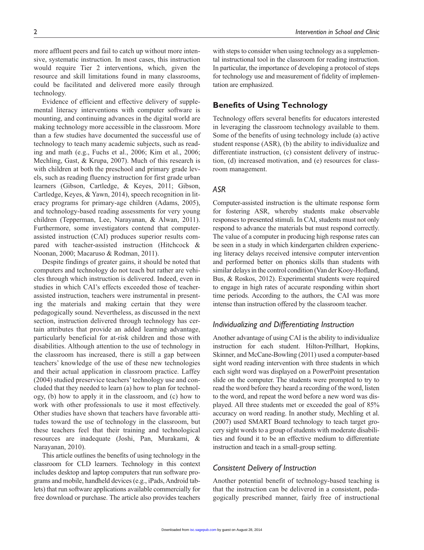more affluent peers and fail to catch up without more intensive, systematic instruction. In most cases, this instruction would require Tier 2 interventions, which, given the resource and skill limitations found in many classrooms, could be facilitated and delivered more easily through technology.

Evidence of efficient and effective delivery of supplemental literacy interventions with computer software is mounting, and continuing advances in the digital world are making technology more accessible in the classroom. More than a few studies have documented the successful use of technology to teach many academic subjects, such as reading and math (e.g., Fuchs et al., 2006; Kim et al., 2006; Mechling, Gast, & Krupa, 2007). Much of this research is with children at both the preschool and primary grade levels, such as reading fluency instruction for first grade urban learners (Gibson, Cartledge, & Keyes, 2011; Gibson, Cartledge, Keyes, & Yawn, 2014), speech recognition in literacy programs for primary-age children (Adams, 2005), and technology-based reading assessments for very young children (Tepperman, Lee, Narayanan, & Alwan, 2011). Furthermore, some investigators contend that computerassisted instruction (CAI) produces superior results compared with teacher-assisted instruction (Hitchcock & Noonan, 2000; Macaruso & Rodman, 2011).

Despite findings of greater gains, it should be noted that computers and technology do not teach but rather are vehicles through which instruction is delivered. Indeed, even in studies in which CAI's effects exceeded those of teacherassisted instruction, teachers were instrumental in presenting the materials and making certain that they were pedagogically sound. Nevertheless, as discussed in the next section, instruction delivered through technology has certain attributes that provide an added learning advantage, particularly beneficial for at-risk children and those with disabilities. Although attention to the use of technology in the classroom has increased, there is still a gap between teachers' knowledge of the use of these new technologies and their actual application in classroom practice. Laffey (2004) studied preservice teachers' technology use and concluded that they needed to learn (a) how to plan for technology, (b) how to apply it in the classroom, and (c) how to work with other professionals to use it most effectively. Other studies have shown that teachers have favorable attitudes toward the use of technology in the classroom, but these teachers feel that their training and technological resources are inadequate (Joshi, Pan, Murakami, & Narayanan, 2010).

This article outlines the benefits of using technology in the classroom for CLD learners. Technology in this context includes desktop and laptop computers that run software programs and mobile, handheld devices (e.g., iPads, Android tablets) that run software applications available commercially for free download or purchase. The article also provides teachers with steps to consider when using technology as a supplemental instructional tool in the classroom for reading instruction. In particular, the importance of developing a protocol of steps for technology use and measurement of fidelity of implementation are emphasized.

#### **Benefits of Using Technology**

Technology offers several benefits for educators interested in leveraging the classroom technology available to them. Some of the benefits of using technology include (a) active student response (ASR), (b) the ability to individualize and differentiate instruction, (c) consistent delivery of instruction, (d) increased motivation, and (e) resources for classroom management.

#### *ASR*

Computer-assisted instruction is the ultimate response form for fostering ASR, whereby students make observable responses to presented stimuli. In CAI, students must not only respond to advance the materials but must respond correctly. The value of a computer in producing high response rates can be seen in a study in which kindergarten children experiencing literacy delays received intensive computer intervention and performed better on phonics skills than students with similar delays in the control condition (Van der Kooy-Hofland, Bus, & Roskos, 2012). Experimental students were required to engage in high rates of accurate responding within short time periods. According to the authors, the CAI was more intense than instruction offered by the classroom teacher.

#### *Individualizing and Differentiating Instruction*

Another advantage of using CAI is the ability to individualize instruction for each student. Hilton-Prillhart, Hopkins, Skinner, and McCane-Bowling (2011) used a computer-based sight word reading intervention with three students in which each sight word was displayed on a PowerPoint presentation slide on the computer. The students were prompted to try to read the word before they heard a recording of the word, listen to the word, and repeat the word before a new word was displayed. All three students met or exceeded the goal of 85% accuracy on word reading. In another study, Mechling et al. (2007) used SMART Board technology to teach target grocery sight words to a group of students with moderate disabilities and found it to be an effective medium to differentiate instruction and teach in a small-group setting.

#### *Consistent Delivery of Instruction*

Another potential benefit of technology-based teaching is that the instruction can be delivered in a consistent, pedagogically prescribed manner, fairly free of instructional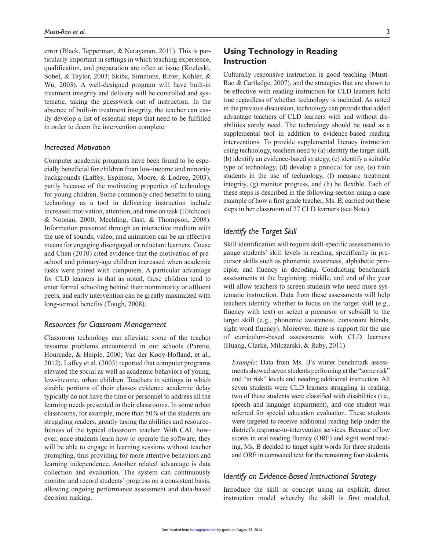error (Black, Tepperman, & Narayanan, 2011). This is particularly important in settings in which teaching experience, qualification, and preparation are often at issue (Kozleski, Sobel, & Taylor, 2003; Skiba, Simmons, Ritter, Kohler, & Wu, 2003). A well-designed program will have built-in treatment integrity and delivery will be controlled and systematic, taking the guesswork out of instruction. In the absence of built-in treatment integrity, the teacher can easily develop a list of essential steps that need to be fulfilled in order to deem the intervention complete.

#### *Increased Motivation*

Computer academic programs have been found to be especially beneficial for children from low-income and minority backgrounds (Laffey, Espinosa, Moore, & Lodree, 2003), partly because of the motivating properties of technology for young children. Some commonly cited benefits to using technology as a tool in delivering instruction include increased motivation, attention, and time on task (Hitchcock & Noonan, 2000; Mechling, Gast, & Thompson, 2008). Information presented through an interactive medium with the use of sounds, video, and animation can be an effective means for engaging disengaged or reluctant learners. Couse and Chen (2010) cited evidence that the motivation of preschool and primary-age children increased when academic tasks were paired with computers. A particular advantage for CLD learners is that as noted, these children tend to enter formal schooling behind their nonminority or affluent peers, and early intervention can be greatly maximized with long-termed benefits (Tough, 2008).

#### *Resources for Classroom Management*

Classroom technology can alleviate some of the teacher resource problems encountered in our schools (Parette, Hourcade, & Heiple, 2000; Van der Kooy-Hofland, et al., 2012). Laffey et al. (2003) reported that computer programs elevated the social as well as academic behaviors of young, low-income, urban children. Teachers in settings in which sizable portions of their classes evidence academic delay typically do not have the time or personnel to address all the learning needs presented in their classrooms. In some urban classrooms, for example, more than 50% of the students are struggling readers, greatly taxing the abilities and resourcefulness of the typical classroom teacher. With CAI, however, once students learn how to operate the software, they will be able to engage in learning sessions without teacher prompting, thus providing for more attentive behaviors and learning independence. Another related advantage is data collection and evaluation. The system can continuously monitor and record students' progress on a consistent basis, allowing ongoing performance assessment and data-based decision making.

#### **Using Technology in Reading Instruction**

Culturally responsive instruction is good teaching (Musti-Rao & Cartledge, 2007), and the strategies that are shown to be effective with reading instruction for CLD learners hold true regardless of whether technology is included. As noted in the previous discussion, technology can provide that added advantage teachers of CLD learners with and without disabilities sorely need. The technology should be used as a supplemental tool in addition to evidence-based reading interventions. To provide supplemental literacy instruction using technology, teachers need to (a) identify the target skill, (b) identify an evidence-based strategy, (c) identify a suitable type of technology, (d) develop a protocol for use, (e) train students in the use of technology, (f) measure treatment integrity, (g) monitor progress, and (h) be flexible. Each of these steps is described in the following section using a case example of how a first grade teacher, Ms. B, carried out these steps in her classroom of 27 CLD learners (see Note).

#### *Identify the Target Skill*

Skill identification will require skill-specific assessments to gauge students' skill levels in reading, specifically in precursor skills such as phonemic awareness, alphabetic principle, and fluency in decoding. Conducting benchmark assessments at the beginning, middle, and end of the year will allow teachers to screen students who need more systematic instruction. Data from these assessments will help teachers identify whether to focus on the target skill (e.g., fluency with text) or select a precursor or subskill to the target skill (e.g., phonemic awareness, consonant blends, sight word fluency). Moreover, there is support for the use of curriculum-based assessments with CLD learners (Huang, Clarke, Milczarski, & Raby, 2011).

*Example*: Data from Ms. B's winter benchmark assessments showed seven students performing at the "some risk" and "at risk" levels and needing additional instruction. All seven students were CLD learners struggling in reading, two of these students were classified with disabilities (i.e., speech and language impairment), and one student was referred for special education evaluation. These students were targeted to receive additional reading help under the district's response-to-intervention services. Because of low scores in oral reading fluency (ORF) and sight word reading, Ms. B decided to target sight words for three students and ORF in connected text for the remaining four students.

#### *Identify an Evidence-Based Instructional Strategy*

Introduce the skill or concept using an explicit, direct instruction model whereby the skill is first modeled,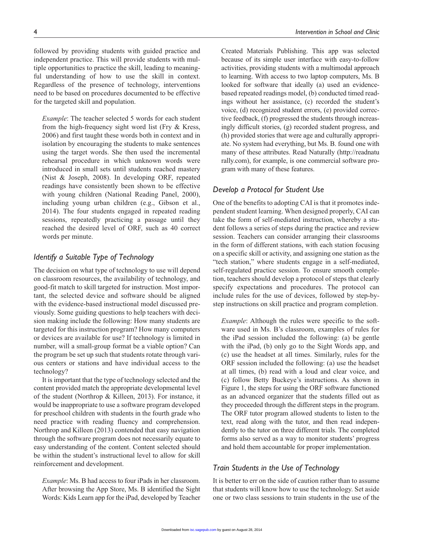followed by providing students with guided practice and independent practice. This will provide students with multiple opportunities to practice the skill, leading to meaningful understanding of how to use the skill in context. Regardless of the presence of technology, interventions need to be based on procedures documented to be effective for the targeted skill and population.

*Example*: The teacher selected 5 words for each student from the high-frequency sight word list (Fry & Kress, 2006) and first taught these words both in context and in isolation by encouraging the students to make sentences using the target words. She then used the incremental rehearsal procedure in which unknown words were introduced in small sets until students reached mastery (Nist & Joseph, 2008). In developing ORF, repeated readings have consistently been shown to be effective with young children (National Reading Panel, 2000), including young urban children (e.g., Gibson et al., 2014). The four students engaged in repeated reading sessions, repeatedly practicing a passage until they reached the desired level of ORF, such as 40 correct words per minute.

#### *Identify a Suitable Type of Technology*

The decision on what type of technology to use will depend on classroom resources, the availability of technology, and good-fit match to skill targeted for instruction. Most important, the selected device and software should be aligned with the evidence-based instructional model discussed previously. Some guiding questions to help teachers with decision making include the following: How many students are targeted for this instruction program? How many computers or devices are available for use? If technology is limited in number, will a small-group format be a viable option? Can the program be set up such that students rotate through various centers or stations and have individual access to the technology?

It is important that the type of technology selected and the content provided match the appropriate developmental level of the student (Northrop & Killeen, 2013). For instance, it would be inappropriate to use a software program developed for preschool children with students in the fourth grade who need practice with reading fluency and comprehension. Northrop and Killeen (2013) contended that easy navigation through the software program does not necessarily equate to easy understanding of the content. Content selected should be within the student's instructional level to allow for skill reinforcement and development.

*Example*: Ms. B had access to four iPads in her classroom. After browsing the App Store, Ms. B identified the Sight Words: Kids Learn app for the iPad, developed by Teacher Created Materials Publishing. This app was selected because of its simple user interface with easy-to-follow activities, providing students with a multimodal approach to learning. With access to two laptop computers, Ms. B looked for software that ideally (a) used an evidencebased repeated readings model, (b) conducted timed readings without her assistance, (c) recorded the student's voice, (d) recognized student errors, (e) provided corrective feedback, (f) progressed the students through increasingly difficult stories, (g) recorded student progress, and (h) provided stories that were age and culturally appropriate. No system had everything, but Ms. B. found one with many of these attributes. Read Naturally [\(http://readnatu](http://readnaturally.com) [rally.com\)](http://readnaturally.com), for example, is one commercial software program with many of these features.

#### *Develop a Protocol for Student Use*

One of the benefits to adopting CAI is that it promotes independent student learning. When designed properly, CAI can take the form of self-mediated instruction, whereby a student follows a series of steps during the practice and review session. Teachers can consider arranging their classrooms in the form of different stations, with each station focusing on a specific skill or activity, and assigning one station as the "tech station," where students engage in a self-mediated, self-regulated practice session. To ensure smooth completion, teachers should develop a protocol of steps that clearly specify expectations and procedures. The protocol can include rules for the use of devices, followed by step-bystep instructions on skill practice and program completion.

*Example*: Although the rules were specific to the software used in Ms. B's classroom, examples of rules for the iPad session included the following: (a) be gentle with the iPad, (b) only go to the Sight Words app, and (c) use the headset at all times. Similarly, rules for the ORF session included the following: (a) use the headset at all times, (b) read with a loud and clear voice, and (c) follow Betty Buckeye's instructions. As shown in Figure 1, the steps for using the ORF software functioned as an advanced organizer that the students filled out as they proceeded through the different steps in the program. The ORF tutor program allowed students to listen to the text, read along with the tutor, and then read independently to the tutor on three different trials. The completed forms also served as a way to monitor students' progress and hold them accountable for proper implementation.

#### *Train Students in the Use of Technology*

It is better to err on the side of caution rather than to assume that students will know how to use the technology. Set aside one or two class sessions to train students in the use of the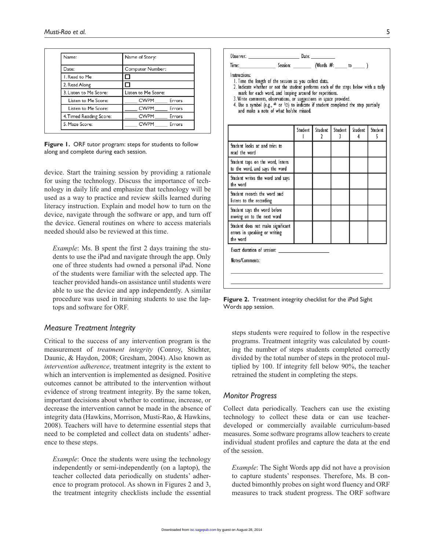| Name:                   | Name of Story:        |  |  |
|-------------------------|-----------------------|--|--|
| Date:                   | Computer Number:      |  |  |
| I. Read to Me           |                       |  |  |
| 2. Read Along           |                       |  |  |
| 3. Listen to Me Score:  | Listen to Me Score:   |  |  |
| Listen to Me Score:     | <b>CWPM</b><br>Errors |  |  |
| Listen to Me Score:     | <b>CWPM</b><br>Errors |  |  |
| 4. Timed Reading Score: | <b>CWPM</b><br>Errors |  |  |
| 5. Maze Score:          | <b>CWPM</b><br>Errors |  |  |

**Figure 1.** ORF tutor program: steps for students to follow along and complete during each session.

device. Start the training session by providing a rationale for using the technology. Discuss the importance of technology in daily life and emphasize that technology will be used as a way to practice and review skills learned during literacy instruction. Explain and model how to turn on the device, navigate through the software or app, and turn off the device. General routines on where to access materials needed should also be reviewed at this time.

*Example*: Ms. B spent the first 2 days training the students to use the iPad and navigate through the app. Only one of three students had owned a personal iPad. None of the students were familiar with the selected app. The teacher provided hands-on assistance until students were able to use the device and app independently. A similar procedure was used in training students to use the laptops and software for ORF.

#### *Measure Treatment Integrity*

Critical to the success of any intervention program is the measurement of *treatment integrity* (Conroy, Stichter, Daunic, & Haydon, 2008; Gresham, 2004). Also known as *intervention adherence*, treatment integrity is the extent to which an intervention is implemented as designed. Positive outcomes cannot be attributed to the intervention without evidence of strong treatment integrity. By the same token, important decisions about whether to continue, increase, or decrease the intervention cannot be made in the absence of integrity data (Hawkins, Morrison, Musti-Rao, & Hawkins, 2008). Teachers will have to determine essential steps that need to be completed and collect data on students' adherence to these steps.

*Example*: Once the students were using the technology independently or semi-independently (on a laptop), the teacher collected data periodically on students' adherence to program protocol. As shown in Figures 2 and 3, the treatment integrity checklists include the essential



**Figure 2.** Treatment integrity checklist for the iPad Sight Words app session.

steps students were required to follow in the respective programs. Treatment integrity was calculated by counting the number of steps students completed correctly divided by the total number of steps in the protocol multiplied by 100. If integrity fell below 90%, the teacher retrained the student in completing the steps.

#### *Monitor Progress*

Collect data periodically. Teachers can use the existing technology to collect these data or can use teacherdeveloped or commercially available curriculum-based measures. Some software programs allow teachers to create individual student profiles and capture the data at the end of the session.

*Example*: The Sight Words app did not have a provision to capture students' responses. Therefore, Ms. B conducted bimonthly probes on sight word fluency and ORF measures to track student progress. The ORF software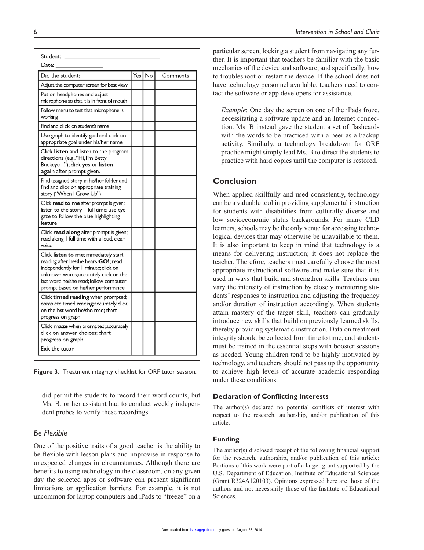| Student:<br>Date:                                                                                                                                                                                                                                |     |    |          |
|--------------------------------------------------------------------------------------------------------------------------------------------------------------------------------------------------------------------------------------------------|-----|----|----------|
| Did the student:                                                                                                                                                                                                                                 | Yes | No | Comments |
| Adjust the computer screen for best view                                                                                                                                                                                                         |     |    |          |
| Put on headphones and adjust<br>microphone so that it is in front of mouth                                                                                                                                                                       |     |    |          |
| Follow menu to test that microphone is<br>working                                                                                                                                                                                                |     |    |          |
| Find and click on student's name                                                                                                                                                                                                                 |     |    |          |
| Use graph to identify goal and click on<br>appropriate goal under his/her name                                                                                                                                                                   |     |    |          |
| Click listen and listen to the program<br>directions (e.g., "Hi, I'm Betty<br>Buckeye "); click yes or listen<br>again after prompt given.                                                                                                       |     |    |          |
| Find assigned story in his/her folder and<br>find and click on appropriate training<br>story ("When I Grow Up")                                                                                                                                  |     |    |          |
| Click read to me after prompt is given;<br>listen to the story I full time; use eye<br>gaze to follow the blue highlighting<br>feature                                                                                                           |     |    |          |
| Click read along after prompt is given;<br>read along I full time with a loud, clear<br>voice                                                                                                                                                    |     |    |          |
| Click listen to me; immediately start<br>reading after he/she hears GO!; read<br>independently for I minute; click on<br>unknown words; accurately click on the<br>last word he/she read; follow computer<br>prompt based on his/her performance |     |    |          |
| Click timed reading when prompted;<br>complete timed reading; accurately click<br>on the last word he/she read; chart<br>progress on graph                                                                                                       |     |    |          |
| Click maze when prompted; accurately<br>click on answer choices; chart<br>progress on graph                                                                                                                                                      |     |    |          |
| Exit the tutor                                                                                                                                                                                                                                   |     |    |          |

**Figure 3.** Treatment integrity checklist for ORF tutor session.

did permit the students to record their word counts, but Ms. B. or her assistant had to conduct weekly independent probes to verify these recordings.

#### *Be Flexible*

One of the positive traits of a good teacher is the ability to be flexible with lesson plans and improvise in response to unexpected changes in circumstances. Although there are benefits to using technology in the classroom, on any given day the selected apps or software can present significant limitations or application barriers. For example, it is not uncommon for laptop computers and iPads to "freeze" on a particular screen, locking a student from navigating any further. It is important that teachers be familiar with the basic mechanics of the device and software, and specifically, how to troubleshoot or restart the device. If the school does not have technology personnel available, teachers need to contact the software or app developers for assistance.

*Example*: One day the screen on one of the iPads froze, necessitating a software update and an Internet connection. Ms. B instead gave the student a set of flashcards with the words to be practiced with a peer as a backup activity. Similarly, a technology breakdown for ORF practice might simply lead Ms. B to direct the students to practice with hard copies until the computer is restored.

#### **Conclusion**

When applied skillfully and used consistently, technology can be a valuable tool in providing supplemental instruction for students with disabilities from culturally diverse and low–socioeconomic status backgrounds. For many CLD learners, schools may be the only venue for accessing technological devices that may otherwise be unavailable to them. It is also important to keep in mind that technology is a means for delivering instruction; it does not replace the teacher. Therefore, teachers must carefully choose the most appropriate instructional software and make sure that it is used in ways that build and strengthen skills. Teachers can vary the intensity of instruction by closely monitoring students' responses to instruction and adjusting the frequency and/or duration of instruction accordingly. When students attain mastery of the target skill, teachers can gradually introduce new skills that build on previously learned skills, thereby providing systematic instruction. Data on treatment integrity should be collected from time to time, and students must be trained in the essential steps with booster sessions as needed. Young children tend to be highly motivated by technology, and teachers should not pass up the opportunity to achieve high levels of accurate academic responding under these conditions.

#### **Declaration of Conflicting Interests**

The author(s) declared no potential conflicts of interest with respect to the research, authorship, and/or publication of this article.

#### **Funding**

The author(s) disclosed receipt of the following financial support for the research, authorship, and/or publication of this article: Portions of this work were part of a larger grant supported by the U.S. Department of Education, Institute of Educational Sciences (Grant R324A120103). Opinions expressed here are those of the authors and not necessarily those of the Institute of Educational Sciences.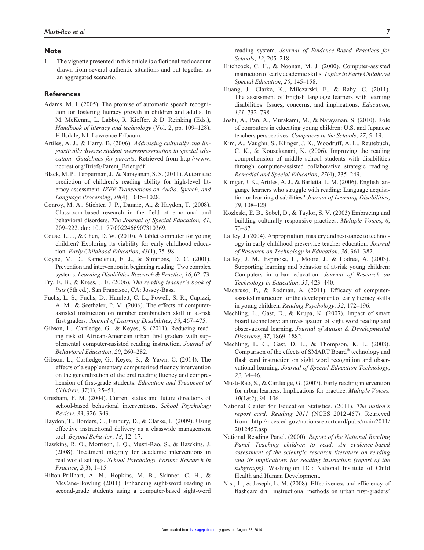#### **Note**

1. The vignette presented in this article is a fictionalized account drawn from several authentic situations and put together as an aggregated scenario.

#### **References**

- Adams, M. J. (2005). The promise of automatic speech recognition for fostering literacy growth in children and adults. In M. McKenna, L. Labbo, R. Kieffer, & D. Reinking (Eds.), *Handbook of literacy and technology* (Vol. 2, pp. 109–128). Hillsdale, NJ: Lawrence Erlbaum.
- Artiles, A. J., & Harry, B. (2006). *Addressing culturally and linguistically diverse student overrepresentation in special education: Guidelines for parents*. Retrieved from [http://www.](http://www.nccrest.org/Briefs/Parent_Brief.pdf) [nccrest.org/Briefs/Parent\\_Brief.pdf](http://www.nccrest.org/Briefs/Parent_Brief.pdf)
- Black, M. P., Tepperman, J., & Narayanan, S. S. (2011). Automatic prediction of children's reading ability for high-level literacy assessment. *IEEE Transactions on Audio, Speech, and Language Processing*, *19*(4), 1015–1028.
- Conroy, M. A., Stichter, J. P., Daunic, A., & Haydon, T. (2008). Classroom-based research in the field of emotional and behavioral disorders. *The Journal of Special Education, 41*, 209–222. doi: 10.1177/0022466907310369.
- Couse, L. J., & Chen, D. W. (2010). A tablet computer for young children? Exploring its viability for early childhood education. *Early Childhood Education*, *43*(1), 75–98.
- Coyne, M. D., Kame'enui, E. J., & Simmons, D. C. (2001). Prevention and intervention in beginning reading: Two complex systems. *Learning Disabilities Research & Practice*, *16*, 62–73.
- Fry, E. B., & Kress, J. E. (2006). *The reading teacher's book of lists* (5th ed.). San Francisco, CA: Jossey-Bass.
- Fuchs, L. S., Fuchs, D., Hamlett, C. L., Powell, S. R., Capizzi, A. M., & Seethaler, P. M. (2006). The effects of computerassisted instruction on number combination skill in at-risk first graders. *Journal of Learning Disabilities*, *39*, 467–475.
- Gibson, L., Cartledge, G., & Keyes, S. (2011). Reducing reading risk of African-American urban first graders with supplemental computer-assisted reading instruction. *Journal of Behavioral Education*, *20*, 260–282.
- Gibson, L., Cartledge, G., Keyes, S., & Yawn, C. (2014). The effects of a supplementary computerized fluency intervention on the generalization of the oral reading fluency and comprehension of first-grade students. *Education and Treatment of Children*, *37*(1), 25–51.
- Gresham, F. M. (2004). Current status and future directions of school-based behavioral interventions. *School Psychology Review, 33*, 326–343.
- Haydon, T., Borders, C., Embury, D., & Clarke, L. (2009). Using effective instructional delivery as a classwide management tool. *Beyond Behavior*, *18*, 12–17.
- Hawkins, R. O., Morrison, J. Q., Musti-Rao, S., & Hawkins, J. (2008). Treatment integrity for academic interventions in real world settings. *School Psychology Forum: Research in Practice*, *2*(3), 1–15.
- Hilton-Prillhart, A. N., Hopkins, M. B., Skinner, C. H., & McCane-Bowling (2011). Enhancing sight-word reading in second-grade students using a computer-based sight-word

reading system. *Journal of Evidence-Based Practices for Schools*, *12*, 205–218.

- Hitchcock, C. H., & Noonan, M. J. (2000). Computer-assisted instruction of early academic skills. *Topics in Early Childhood Special Education*, *20*, 145–158.
- Huang, J., Clarke, K., Milczarski, E., & Raby, C. (2011). The assessment of English language learners with learning disabilities: Issues, concerns, and implications. *Education*, *131*, 732–738.
- Joshi, A., Pan, A., Murakami, M., & Narayanan, S. (2010). Role of computers in educating young children: U.S. and Japanese teachers perspectives. *Computers in the Schools*, *27*, 5–19.
- Kim, A., Vaughn, S., Klinger, J. K., Woodruff, A. L., Reutebuch, C. K., & Kouzekanani, K. (2006). Improving the reading comprehension of middle school students with disabilities through computer-assisted collaborative strategic reading. *Remedial and Special Education*, *27*(4), 235–249.
- Klinger, J. K., Artiles, A. J., & Barletta, L. M. (2006). English language learners who struggle with reading: Language acquisition or learning disabilities? *Journal of Learning Disabilities*, *39*, 108–128.
- Kozleski, E. B., Sobel, D., & Taylor, S. V. (2003) Embracing and building culturally responsive practices. *Multiple Voices*, *6*, 73–87.
- Laffey, J. (2004). Appropriation, mastery and resistance to technology in early childhood preservice teacher education. *Journal of Research on Technology in Education*, *36*, 361–382.
- Laffey, J. M., Espinosa, L., Moore, J., & Lodree, A. (2003). Supporting learning and behavior of at-risk young children: Computers in urban education. *Journal of Research on Technology in Education*, *35*, 423–440.
- Macaruso, P., & Rodman, A. (2011). Efficacy of computerassisted instruction for the development of early literacy skills in young children. *Reading Psychology*, *32*, 172–196.
- Mechling, L., Gast, D., & Krupa, K. (2007). Impact of smart board technology: an investigation of sight word reading and observational learning. *Journal of Autism & Developmental Disorders*, *37*, 1869–1882.
- Mechling, L. C., Gast, D. L., & Thompson, K. L. (2008). Comparison of the effects of SMART Board® technology and flash card instruction on sight word recognition and observational learning. *Journal of Special Education Technology*, *23*, 34–46.
- Musti-Rao, S., & Cartledge, G. (2007). Early reading intervention for urban learners: Implications for practice. *Multiple Voices, 10*(1&2), 94–106.
- National Center for Education Statistics. (2011). *The nation's report card: Reading 2011* (NCES 2012-457). Retrieved from [http://nces.ed.gov/nationsreportcard/pubs/main2011/](http://nces.ed.gov/nationsreportcard/pubs/main2011/2012457.asp) [2012457.asp](http://nces.ed.gov/nationsreportcard/pubs/main2011/2012457.asp)
- National Reading Panel. (2000). *Report of the National Reading Panel—Teaching children to read: An evidence-based assessment of the scientific research literature on reading and its implications for reading instruction (report of the subgroups)*. Washington DC: National Institute of Child Health and Human Development.
- Nist, L., & Joseph, L. M. (2008). Effectiveness and efficiency of flashcard drill instructional methods on urban first-graders'